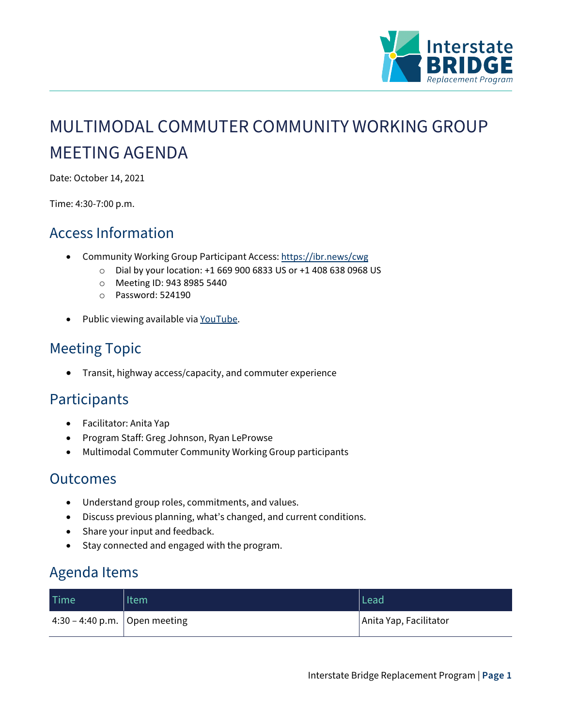

# MULTIMODAL COMMUTER COMMUNITY WORKING GROUP MEETING AGENDA

Date: October 14, 2021

Time: 4:30-7:00 p.m.

### Access Information

- Community Working Group Participant Access: <https://ibr.news/cwg>
	- o Dial by your location: +1 669 900 6833 US or +1 408 638 0968 US
	- o Meeting ID: 943 8985 5440
	- o Password: 524190
- Public viewing available via [YouTube.](https://www.youtube.com/c/IBRProgram)

## Meeting Topic

• Transit, highway access/capacity, and commuter experience

#### **Participants**

- Facilitator: Anita Yap
- Program Staff: Greg Johnson, Ryan LeProwse
- Multimodal Commuter Community Working Group participants

#### Outcomes

- Understand group roles, commitments, and values.
- Discuss previous planning, what's changed, and current conditions.
- Share your input and feedback.
- Stay connected and engaged with the program.

#### Agenda Items

| Time                            | Item | Lead                   |
|---------------------------------|------|------------------------|
| 4:30 – 4:40 p.m.   Open meeting |      | Anita Yap, Facilitator |